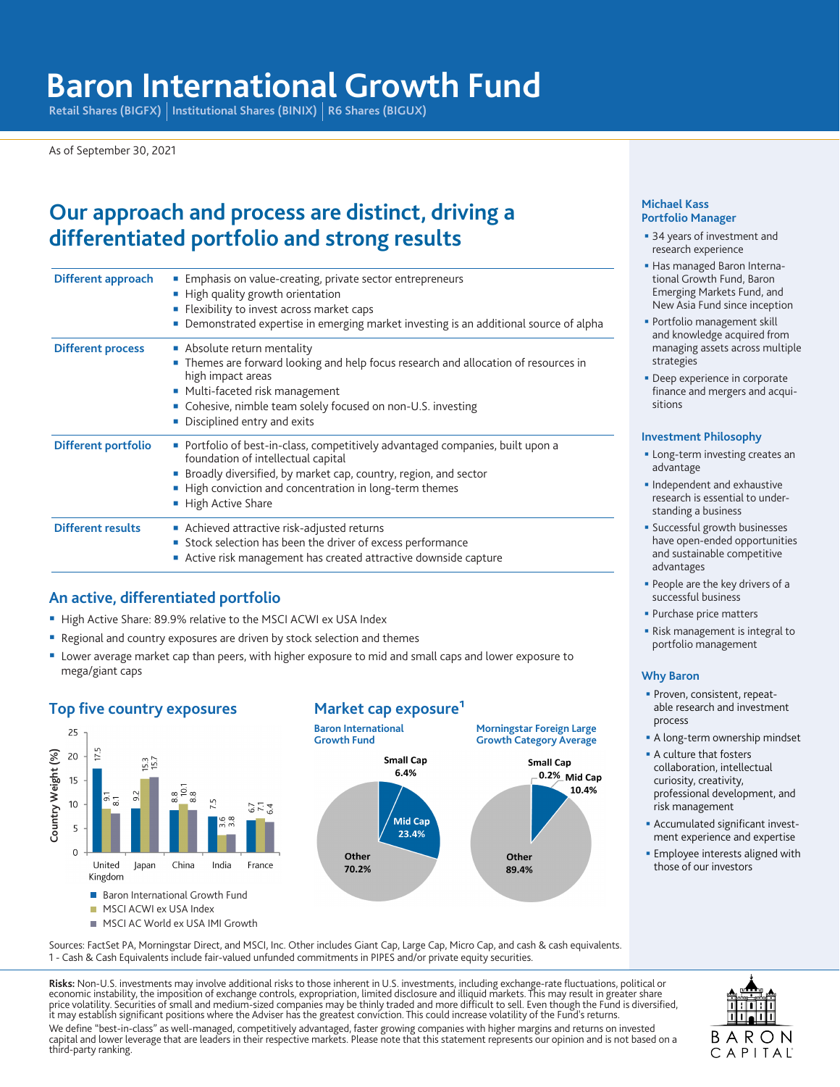# **Baron International Growth Fund**

Retail Shares (BIGFX) | Institutional Shares (BINIX) | R6 Shares (BIGUX)

As of September 30, 2021

## **Our approach and process are distinct, driving a differentiated portfolio and strong results**

| Different approach       | Emphasis on value-creating, private sector entrepreneurs<br>■ High quality growth orientation<br>Flexibility to invest across market caps<br>Demonstrated expertise in emerging market investing is an additional source of alpha                                     |
|--------------------------|-----------------------------------------------------------------------------------------------------------------------------------------------------------------------------------------------------------------------------------------------------------------------|
| <b>Different process</b> | Absolute return mentality<br>Themes are forward looking and help focus research and allocation of resources in<br>high impact areas<br>Multi-faceted risk management<br>• Cohesive, nimble team solely focused on non-U.S. investing<br>Disciplined entry and exits   |
| Different portfolio      | Portfolio of best-in-class, competitively advantaged companies, built upon a<br>foundation of intellectual capital<br>Broadly diversified, by market cap, country, region, and sector<br>■ High conviction and concentration in long-term themes<br>High Active Share |
| <b>Different results</b> | ■ Achieved attractive risk-adjusted returns<br>Stock selection has been the driver of excess performance<br>Active risk management has created attractive downside capture                                                                                            |

## **An active, differentiated portfolio**

- High Active Share: 89.9% relative to the MSCI ACWI ex USA Index
- Regional and country exposures are driven by stock selection and themes
- **Lower average market cap than peers, with higher exposure to mid and small caps and lower exposure to** mega/giant caps

#### **Top five country exposures Market cap exposure**<sup>1</sup>





#### **Michael Kass Portfolio Manager**

- **34 years of investment and** research experience
- Has managed Baron International Growth Fund, Baron Emerging Markets Fund, and New Asia Fund since inception
- Portfolio management skill and knowledge acquired from managing assets across multiple strategies
- **Deep experience in corporate** finance and mergers and acquisitions

#### **Investment Philosophy**

- **-** Long-term investing creates an advantage
- **Independent and exhaustive** research is essential to understanding a business
- **Successful growth businesses** have open-ended opportunities and sustainable competitive advantages
- **People are the key drivers of a** successful business
- **Purchase price matters**
- **Risk management is integral to** portfolio management

#### **Why Baron**

- **Proven, consistent, repeat**able research and investment process
- A long-term ownership mindset
- **A** culture that fosters collaboration, intellectual curiosity, creativity, professional development, and risk management
- **Accumulated significant invest**ment experience and expertise
- **Employee interests aligned with** those of our investors

Sources: FactSet PA, Morningstar Direct, and MSCI, Inc. Other includes Giant Cap, Large Cap, Micro Cap, and cash & cash equivalents. 1 - Cash & Cash Equivalents include fair-valued unfunded commitments in PIPES and/or private equity securities.

**Risks:** Non-U.S. investments may involve additional risks to those inherent in U.S. investments, including exchange-rate fluctuations, political or<br>economic instability, the imposition of exchange controls, expropriation, it may establish significant positions where the Adviser has the greatest conviction. This could increase volatility of the Fund's returns.

We define "best-in-class" as well-managed, competitively advantaged, faster growing companies with higher margins and returns on invested capital and lower leverage that are leaders in their respective markets. Please note that this statement represents our opinion and is not based on a third-party ranking.